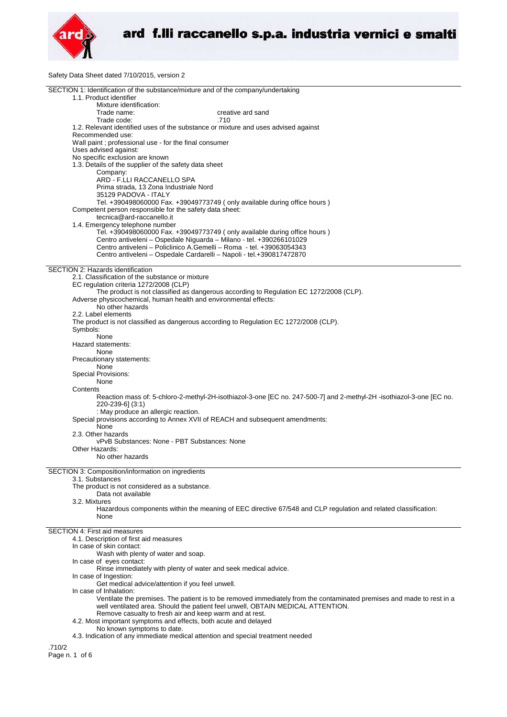

Safety Data Sheet dated 7/10/2015, version 2

| SECTION 1: Identification of the substance/mixture and of the company/undertaking                                     |
|-----------------------------------------------------------------------------------------------------------------------|
| 1.1. Product identifier                                                                                               |
| Mixture identification:                                                                                               |
| Trade name:<br>creative ard sand                                                                                      |
| .710<br>Trade code:                                                                                                   |
| 1.2. Relevant identified uses of the substance or mixture and uses advised against                                    |
| Recommended use:                                                                                                      |
| Wall paint ; professional use - for the final consumer                                                                |
| Uses advised against:                                                                                                 |
| No specific exclusion are known                                                                                       |
| 1.3. Details of the supplier of the safety data sheet                                                                 |
| Company:                                                                                                              |
| ARD - F.LLI RACCANELLO SPA                                                                                            |
| Prima strada, 13 Zona Industriale Nord                                                                                |
| 35129 PADOVA - ITALY                                                                                                  |
| Tel. +390498060000 Fax. +39049773749 (only available during office hours)                                             |
| Competent person responsible for the safety data sheet:                                                               |
| tecnica@ard-raccanello.it                                                                                             |
| 1.4. Emergency telephone number                                                                                       |
| Tel. +390498060000 Fax. +39049773749 (only available during office hours)                                             |
| Centro antiveleni - Ospedale Niguarda - Milano - tel. +390266101029                                                   |
| Centro antiveleni - Policlinico A.Gemelli - Roma - tel. +39063054343                                                  |
| Centro antiveleni - Ospedale Cardarelli - Napoli - tel.+390817472870                                                  |
|                                                                                                                       |
| SECTION 2: Hazards identification                                                                                     |
| 2.1. Classification of the substance or mixture                                                                       |
| EC regulation criteria 1272/2008 (CLP)                                                                                |
| The product is not classified as dangerous according to Regulation EC 1272/2008 (CLP).                                |
| Adverse physicochemical, human health and environmental effects:                                                      |
| No other hazards                                                                                                      |
| 2.2. Label elements                                                                                                   |
| The product is not classified as dangerous according to Regulation EC 1272/2008 (CLP).                                |
| Symbols:                                                                                                              |
| None                                                                                                                  |
| Hazard statements:                                                                                                    |
| None                                                                                                                  |
| Precautionary statements:                                                                                             |
| None                                                                                                                  |
| <b>Special Provisions:</b>                                                                                            |
| None                                                                                                                  |
| Contents                                                                                                              |
| Reaction mass of: 5-chloro-2-methyl-2H-isothiazol-3-one [EC no. 247-500-7] and 2-methyl-2H-isothiazol-3-one [EC no.   |
| 220-239-6] (3:1)                                                                                                      |
| : May produce an allergic reaction.                                                                                   |
| Special provisions according to Annex XVII of REACH and subsequent amendments:                                        |
| None                                                                                                                  |
| 2.3. Other hazards                                                                                                    |
| vPvB Substances: None - PBT Substances: None                                                                          |
| Other Hazards:                                                                                                        |
| No other hazards                                                                                                      |
|                                                                                                                       |
| SECTION 3: Composition/information on ingredients                                                                     |
| 3.1. Substances                                                                                                       |
| The product is not considered as a substance.                                                                         |
| Data not available                                                                                                    |
| 3.2. Mixtures                                                                                                         |
| Hazardous components within the meaning of EEC directive 67/548 and CLP regulation and related classification:        |
| None                                                                                                                  |
|                                                                                                                       |
| <b>SECTION 4: First aid measures</b>                                                                                  |
|                                                                                                                       |
| 4.1. Description of first aid measures                                                                                |
| In case of skin contact:                                                                                              |
| Wash with plenty of water and soap.                                                                                   |
| In case of eyes contact:                                                                                              |
| Rinse immediately with plenty of water and seek medical advice.                                                       |
| In case of Ingestion:                                                                                                 |
| Get medical advice/attention if you feel unwell.                                                                      |
| In case of Inhalation:                                                                                                |
| Ventilate the premises. The patient is to be removed immediately from the contaminated premises and made to rest in a |
| well ventilated area. Should the patient feel unwell, OBTAIN MEDICAL ATTENTION.                                       |
| Remove casualty to fresh air and keep warm and at rest.                                                               |
| 4.2. Most important symptoms and effects, both acute and delayed                                                      |
| No known symptoms to date.                                                                                            |
| 4.3. Indication of any immediate medical attention and special treatment needed                                       |
| .710/2                                                                                                                |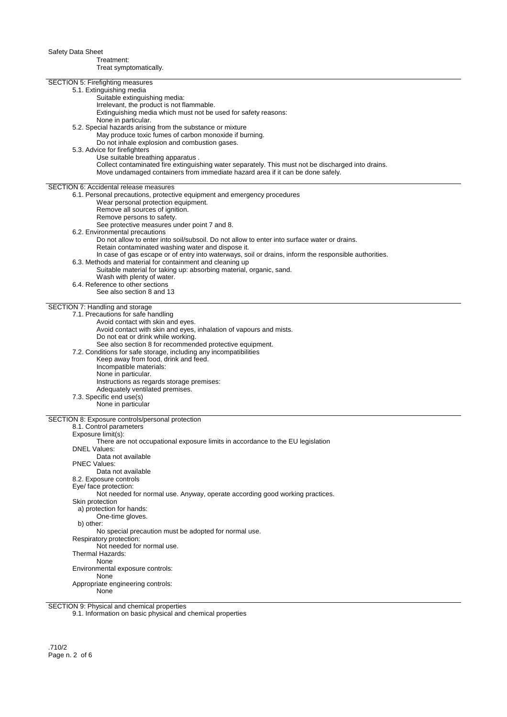Safety Data Sheet Treatment: Treat symptomatically. SECTION 5: Firefighting measures 5.1. Extinguishing media Suitable extinguishing media: Irrelevant, the product is not flammable. Extinguishing media which must not be used for safety reasons: None in particular. 5.2. Special hazards arising from the substance or mixture May produce toxic fumes of carbon monoxide if burning. Do not inhale explosion and combustion gases. 5.3. Advice for firefighters Use suitable breathing apparatus . Collect contaminated fire extinguishing water separately. This must not be discharged into drains. Move undamaged containers from immediate hazard area if it can be done safely. SECTION 6: Accidental release measures 6.1. Personal precautions, protective equipment and emergency procedures Wear personal protection equipment. Remove all sources of ignition. Remove persons to safety. See protective measures under point 7 and 8. 6.2. Environmental precautions Do not allow to enter into soil/subsoil. Do not allow to enter into surface water or drains. Retain contaminated washing water and dispose it. In case of gas escape or of entry into waterways, soil or drains, inform the responsible authorities. 6.3. Methods and material for containment and cleaning up Suitable material for taking up: absorbing material, organic, sand. Wash with plenty of water. 6.4. Reference to other sections See also section 8 and 13 SECTION 7: Handling and storage 7.1. Precautions for safe handling Avoid contact with skin and eyes. Avoid contact with skin and eyes, inhalation of vapours and mists. Do not eat or drink while working. See also section 8 for recommended protective equipment. 7.2. Conditions for safe storage, including any incompatibilities Keep away from food, drink and feed. Incompatible materials: None in particular. Instructions as regards storage premises: Adequately ventilated premises. 7.3. Specific end use(s) None in particular SECTION 8: Exposure controls/personal protection 8.1. Control parameters Exposure limit(s): There are not occupational exposure limits in accordance to the EU legislation DNEL Values: Data not available PNEC Values: Data not available 8.2. Exposure controls Eye/ face protection: Not needed for normal use. Anyway, operate according good working practices. Skin protection a) protection for hands: One-time gloves. b) other: No special precaution must be adopted for normal use. Respiratory protection: Not needed for normal use. Thermal Hazards: None Environmental exposure controls: None

SECTION 9: Physical and chemical properties

None

Appropriate engineering controls:

9.1. Information on basic physical and chemical properties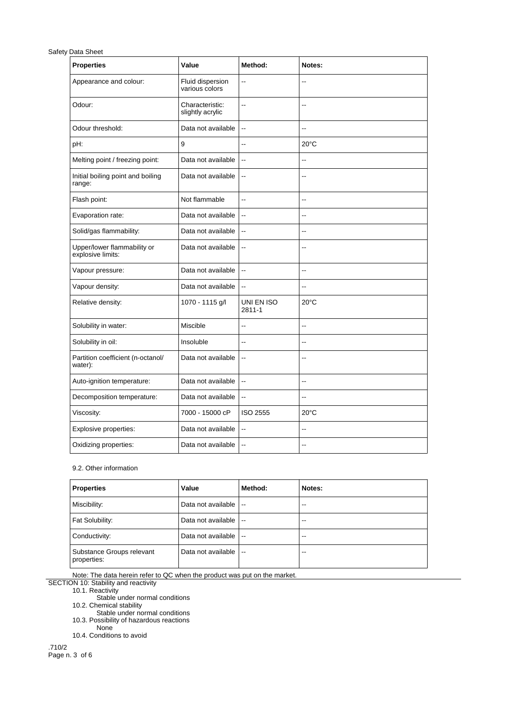## Safety Data Sheet

| <b>Properties</b>                                | Value                               | Method:                  | Notes:                   |
|--------------------------------------------------|-------------------------------------|--------------------------|--------------------------|
| Appearance and colour:                           | Fluid dispersion<br>various colors  | Ξ.                       | Ξ.                       |
| Odour:                                           | Characteristic:<br>slightly acrylic | Ξ.                       | $-$                      |
| Odour threshold:                                 | Data not available                  | $\ddotsc$                | $\overline{a}$           |
| pH:                                              | 9                                   | --                       | $20^{\circ}$ C           |
| Melting point / freezing point:                  | Data not available                  | $\overline{\phantom{a}}$ | Ξ.                       |
| Initial boiling point and boiling<br>range:      | Data not available                  | $\overline{\phantom{a}}$ | $\overline{a}$           |
| Flash point:                                     | Not flammable                       | $\sim$                   | ٠.                       |
| Evaporation rate:                                | Data not available                  | $\overline{\phantom{a}}$ | ۵.                       |
| Solid/gas flammability:                          | Data not available                  | $\overline{\phantom{a}}$ | $\overline{\phantom{a}}$ |
| Upper/lower flammability or<br>explosive limits: | Data not available                  | $\overline{\phantom{a}}$ | $-$                      |
| Vapour pressure:                                 | Data not available                  | $\overline{a}$           | $\overline{a}$           |
| Vapour density:                                  | Data not available                  | $\overline{\phantom{a}}$ | $\overline{a}$           |
| Relative density:                                | 1070 - 1115 g/l                     | UNI EN ISO<br>2811-1     | $20^{\circ}$ C           |
| Solubility in water:                             | Miscible                            | Ξ.                       | $\overline{\phantom{a}}$ |
| Solubility in oil:                               | Insoluble                           | $\overline{a}$           | $\overline{\phantom{a}}$ |
| Partition coefficient (n-octanol/<br>water):     | Data not available                  | $\overline{\phantom{a}}$ | $-$                      |
| Auto-ignition temperature:                       | Data not available                  | $\ddotsc$                | --                       |
| Decomposition temperature:                       | Data not available                  | $\ddotsc$                | $\overline{\phantom{a}}$ |
| Viscosity:                                       | 7000 - 15000 cP                     | <b>ISO 2555</b>          | $20^{\circ}$ C           |
| Explosive properties:                            | Data not available                  | $\ddotsc$                | Ξ.                       |
| Oxidizing properties:                            | Data not available                  | $\ddotsc$                | $\overline{a}$           |

## 9.2. Other information

| Properties                               | Value              | Method:                  | Notes: |
|------------------------------------------|--------------------|--------------------------|--------|
| Miscibility:                             | Data not available | $\overline{\phantom{a}}$ | $-1$   |
| Fat Solubility:                          | Data not available | $\overline{\phantom{a}}$ | $-1$   |
| Conductivity:                            | Data not available | $\overline{\phantom{a}}$ | --     |
| Substance Groups relevant<br>properties: | Data not available | $\overline{\phantom{a}}$ | --     |

Note: The data herein refer to QC when the product was put on the market.

SECTION 10: Stability and reactivity

10.1. Reactivity

Stable under normal conditions

10.2. Chemical stability

Stable under normal conditions 10.3. Possibility of hazardous reactions

None

10.4. Conditions to avoid

.710/2 Page n. 3 of 6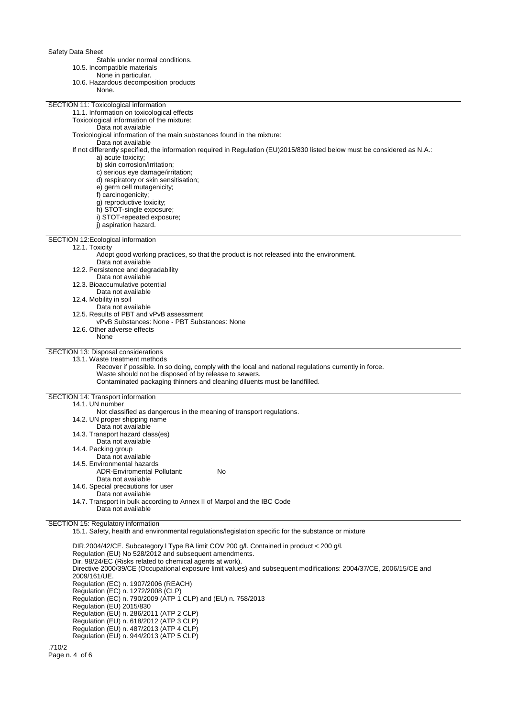Safety Data Sheet

Stable under normal conditions.

- 10.5. Incompatible materials
	- None in particular.
- 10.6. Hazardous decomposition products

| 10.6. Hazardous decomposition products                                                                                     |
|----------------------------------------------------------------------------------------------------------------------------|
| None.                                                                                                                      |
|                                                                                                                            |
| SECTION 11: Toxicological information                                                                                      |
| 11.1. Information on toxicological effects                                                                                 |
| Toxicological information of the mixture:                                                                                  |
| Data not available                                                                                                         |
| Toxicological information of the main substances found in the mixture:                                                     |
| Data not available                                                                                                         |
| If not differently specified, the information required in Regulation (EU)2015/830 listed below must be considered as N.A.: |
| a) acute toxicity;                                                                                                         |
| b) skin corrosion/irritation;                                                                                              |
|                                                                                                                            |
| c) serious eye damage/irritation;                                                                                          |
| d) respiratory or skin sensitisation;                                                                                      |
| e) germ cell mutagenicity;                                                                                                 |
| f) carcinogenicity;                                                                                                        |
| g) reproductive toxicity;                                                                                                  |
| h) STOT-single exposure;                                                                                                   |
| i) STOT-repeated exposure;                                                                                                 |
| i) aspiration hazard.                                                                                                      |
|                                                                                                                            |
| SECTION 12: Ecological information                                                                                         |
| 12.1. Toxicity                                                                                                             |
| Adopt good working practices, so that the product is not released into the environment.                                    |
| Data not available                                                                                                         |
| 12.2. Persistence and degradability                                                                                        |
| Data not available                                                                                                         |
| 12.3. Bioaccumulative potential                                                                                            |
|                                                                                                                            |
| Data not available                                                                                                         |
| 12.4. Mobility in soil                                                                                                     |
| Data not available                                                                                                         |
| 12.5. Results of PBT and vPvB assessment                                                                                   |
| vPvB Substances: None - PBT Substances: None                                                                               |
| 12.6. Other adverse effects                                                                                                |
| None                                                                                                                       |
|                                                                                                                            |
| SECTION 13: Disposal considerations                                                                                        |
| 13.1. Waste treatment methods                                                                                              |
| Recover if possible. In so doing, comply with the local and national regulations currently in force.                       |
| Waste should not be disposed of by release to sewers.                                                                      |
| Contaminated packaging thinners and cleaning diluents must be landfilled.                                                  |
|                                                                                                                            |
| SECTION 14: Transport information                                                                                          |
| 14.1. UN number                                                                                                            |
| Not classified as dangerous in the meaning of transport regulations.                                                       |
| 14.2. UN proper shipping name                                                                                              |
| Data not available                                                                                                         |
| 14.3. Transport hazard class(es)                                                                                           |
|                                                                                                                            |
| Data not available                                                                                                         |
| 14.4. Packing group                                                                                                        |
| Data not available                                                                                                         |
| 14.5. Environmental hazards                                                                                                |
| <b>ADR-Enviromental Pollutant:</b><br>No                                                                                   |
| Data not available                                                                                                         |
| 14.6. Special precautions for user                                                                                         |
| Data not available                                                                                                         |
| 14.7. Transport in bulk according to Annex II of Marpol and the IBC Code                                                   |
| Data not available                                                                                                         |
|                                                                                                                            |
| SECTION 15: Regulatory information                                                                                         |
| 15.1. Safety, health and environmental regulations/legislation specific for the substance or mixture                       |
|                                                                                                                            |
| $DID 2004/12/CF$ , Cubestegen U Type $DA$ limit $COL200 \text{ all }$ Contained in product                                 |

DIR.2004/42/CE. Subcategory l Type BA limit COV 200 g/l. Contained in product < 200 g/l. Regulation (EU) No 528/2012 and subsequent amendments. Dir. 98/24/EC (Risks related to chemical agents at work). Directive 2000/39/CE (Occupational exposure limit values) and subsequent modifications: 2004/37/CE, 2006/15/CE and 2009/161/UE. Regulation (EC) n. 1907/2006 (REACH) Regulation (EC) n. 1272/2008 (CLP) Regulation (EC) n. 790/2009 (ATP 1 CLP) and (EU) n. 758/2013 Regulation (EU) 2015/830 Regulation (EU) n. 286/2011 (ATP 2 CLP) Regulation (EU) n. 618/2012 (ATP 3 CLP) Regulation (EU) n. 487/2013 (ATP 4 CLP) Regulation (EU) n. 944/2013 (ATP 5 CLP)

.710/2 Page n. 4 of 6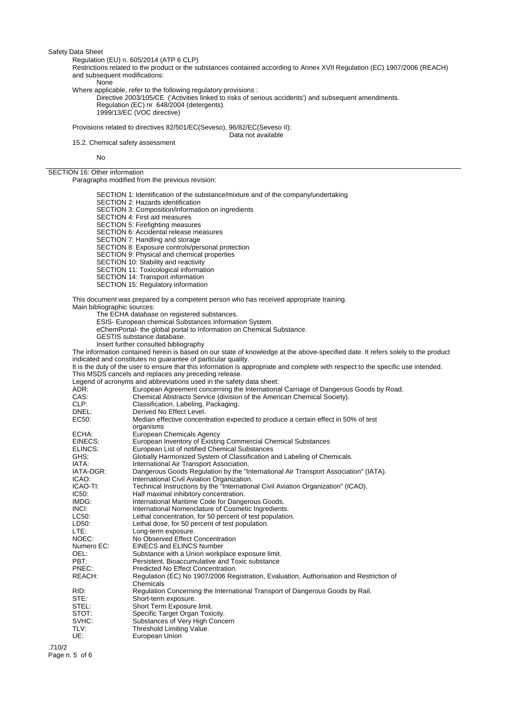Safety Data Sheet

Regulation (EU) n. 605/2014 (ATP 6 CLP)

Restrictions related to the product or the substances contained according to Annex XVII Regulation (EC) 1907/2006 (REACH) and subsequent modifications:

None

Where applicable, refer to the following regulatory provisions :

Directive 2003/105/CE ('Activities linked to risks of serious accidents') and subsequent amendments. Regulation (EC) nr 648/2004 (detergents). 1999/13/EC (VOC directive)

Provisions related to directives 82/501/EC(Seveso), 96/82/EC(Seveso II):

Data not available

15.2. Chemical safety assessment

No

SECTION 16: Other information

Paragraphs modified from the previous revision:

SECTION 1: Identification of the substance/mixture and of the company/undertaking SECTION 2: Hazards identification SECTION 3: Composition/information on ingredients SECTION 4: First aid measures SECTION 5: Firefighting measures SECTION 6: Accidental release measures SECTION 7: Handling and storage SECTION 8: Exposure controls/personal protection SECTION 9: Physical and chemical properties SECTION 10: Stability and reactivity SECTION 11: Toxicological information SECTION 14: Transport information SECTION 15: Regulatory information

This document was prepared by a competent person who has received appropriate training.

Main bibliographic sources: The ECHA database on registered substances.

ESIS- European chemical Substances Information System.

eChemPortal- the global portal to Information on Chemical Substance.

GESTIS substance database.

Insert further consulted bibliography

The information contained herein is based on our state of knowledge at the above-specified date. It refers solely to the product indicated and constitutes no guarantee of particular quality.

It is the duty of the user to ensure that this information is appropriate and complete with respect to the specific use intended. This MSDS cancels and replaces any preceding release.

Legend of acronyms and abbreviations used in the safety data sheet:

| $-99$<br>ADR: | European Agreement concerning the International Carriage of Dangerous Goods by Road.                 |
|---------------|------------------------------------------------------------------------------------------------------|
| CAS:          | Chemical Abstracts Service (division of the American Chemical Society).                              |
| CLP:          | Classification, Labeling, Packaging.                                                                 |
| DNEL:         | Derived No Effect Level.                                                                             |
| EC50:         | Median effective concentration expected to produce a certain effect in 50% of test                   |
|               | organisms                                                                                            |
| ECHA:         | <b>European Chemicals Agency</b>                                                                     |
| EINECS:       | European Inventory of Existing Commercial Chemical Substances                                        |
| ELINCS:       | European List of notified Chemical Substances                                                        |
| GHS:          | Globally Harmonized System of Classification and Labeling of Chemicals.                              |
| IATA:         | International Air Transport Association.                                                             |
| IATA-DGR:     | Dangerous Goods Regulation by the "International Air Transport Association" (IATA).                  |
| ICAO:         | International Civil Aviation Organization.                                                           |
| ICAO-TI:      | Technical Instructions by the "International Civil Aviation Organization" (ICAO).                    |
| IC50:         | Half maximal inhibitory concentration.                                                               |
| IMDG:         | International Maritime Code for Dangerous Goods.                                                     |
| INCI:         | International Nomenclature of Cosmetic Ingredients.                                                  |
| LC50:         | Lethal concentration, for 50 percent of test population.                                             |
| LD50:         | Lethal dose, for 50 percent of test population.                                                      |
| LTE:          | Long-term exposure.                                                                                  |
| NOEC:         | No Observed Effect Concentration                                                                     |
| Numero EC:    | <b>EINECS and ELINCS Number</b>                                                                      |
| OEL:          | Substance with a Union workplace exposure limit.                                                     |
| PBT:          | Persistent, Bioaccumulative and Toxic substance                                                      |
| PNEC:         | Predicted No Effect Concentration.                                                                   |
| REACH:        | Regulation (EC) No 1907/2006 Registration, Evaluation, Authorisation and Restriction of<br>Chemicals |
| RID:          | Regulation Concerning the International Transport of Dangerous Goods by Rail.                        |
| STE:          | Short-term exposure.                                                                                 |
| STEL:         | Short Term Exposure limit.                                                                           |
| STOT:         | Specific Target Organ Toxicity.                                                                      |
| SVHC:         | Substances of Very High Concern                                                                      |
| TLV:          | Threshold Limiting Value.                                                                            |
| UE:           | European Union                                                                                       |
|               |                                                                                                      |

.710/2 Page n. 5 of 6